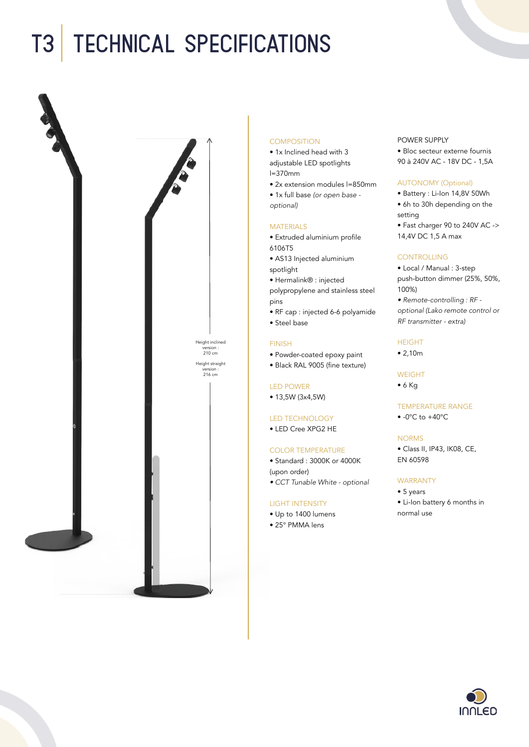# T3 Technical specifications



## **COMPOSITION**

- 1x Inclined head with 3 adjustable LED spotlights l=370mm
- 2x extension modules l=850mm
- 1x full base *(or open base optional)*

## **MATERIALS**

- Extruded aluminium profile 6106T5
- AS13 Injected aluminium spotlight
- Hermalink® : injected polypropylene and stainless steel pins
- RF cap : injected 6-6 polyamide
- Steel base

# FINISH

- Powder-coated epoxy paint
- Black RAL 9005 (fine texture)

# LED POWER

• 13,5W (3x4,5W)

#### LED TECHNOLOGY

• LED Cree XPG2 HE

## COLOR TEMPERATURE

- Standard : 3000K or 4000K
- (upon order)
- *CCT Tunable White optional*

# LIGHT INTENSITY

- Up to 1400 lumens
- 25° PMMA lens

# POWER SUPPLY

• Bloc secteur externe fournis 90 à 240V AC - 18V DC - 1,5A

#### AUTONOMY (Optional)

- Battery : Li-Ion 14,8V 50Wh • 6h to 30h depending on the setting
- Fast charger 90 to 240V AC -> 14,4V DC 1,5 A max

# CONTROLLING

- Local / Manual : 3-step push-button dimmer (25%, 50%, 100%)
- *Remote-controlling : RF optional (Lako remote control or RF transmitter - extra)*

# HEIGHT

• 2,10m

# WEIGHT

• 6 Kg

# TEMPERATURE RANGE

 $\bullet$  -0°C to +40°C

# NORMS

• Class II, IP43, IK08, CE, EN 60598

# WARRANTY

• 5 years

• Li-Ion battery 6 months in normal use